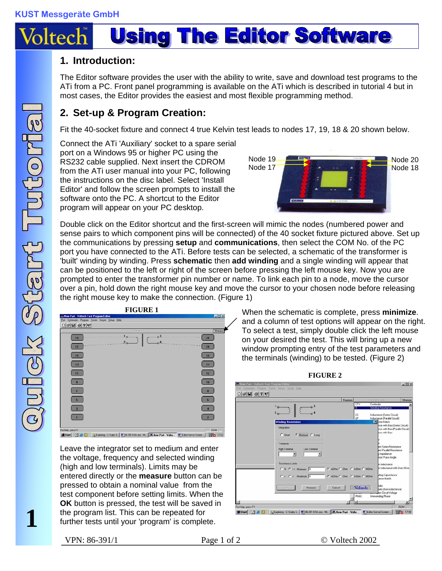

## **1. Introduction:**

The Editor software provides the user with the ability to write, save and download test programs to the ATi from a PC. Front panel programming is available on the ATi which is described in tutorial 4 but in most cases, the Editor provides the easiest and most flexible programming method.

## **2. Set-up & Program Creation:**

Fit the 40-socket fixture and connect 4 true Kelvin test leads to nodes 17, 19, 18 & 20 shown below.

Connect the ATi 'Auxiliary' socket to a spare serial port on a Windows 95 or higher PC using the RS232 cable supplied. Next insert the CDROM from the ATi user manual into your PC, following the instructions on the disc label. Select 'Install Editor' and follow the screen prompts to install the software onto the PC. A shortcut to the Editor program will appear on your PC desktop.



Double click on the Editor shortcut and the first-screen will mimic the nodes (numbered power and sense pairs to which component pins will be connected) of the 40 socket fixture pictured above. Set up the communications by pressing **setup** and **communications**, then select the COM No. of the PC port you have connected to the ATi. Before tests can be selected, a schematic of the transformer is 'built' winding by winding. Press **schematic** then **add winding** and a single winding will appear that can be positioned to the left or right of the screen before pressing the left mouse key. Now you are prompted to enter the transformer pin number or name. To link each pin to a node, move the cursor over a pin, hold down the right mouse key and move the cursor to your chosen node before releasing the right mouse key to make the connection. (Figure 1)

| $\Box \left  \mathcal{B} \right  \boxtimes \left  \mathcal{B} \right  \left  \mathcal{E} \right  \mathcal{K}$<br><b>DOED TO</b> | Minimize       |
|---------------------------------------------------------------------------------------------------------------------------------|----------------|
| 1 <sub>0</sub><br>$-0.3$<br>1911<br>20                                                                                          | $-20$          |
| 15                                                                                                                              | 16             |
| 13                                                                                                                              | 14             |
| 11                                                                                                                              | 12             |
|                                                                                                                                 | 10             |
|                                                                                                                                 | $\overline{B}$ |
| 5                                                                                                                               | 6              |
| $\overline{\mathbf{3}}$                                                                                                         |                |
|                                                                                                                                 |                |

Leave the integrator set to medium and enter the voltage, frequency and selected winding (high and low terminals). Limits may be entered directly or the **measure** button can be pressed to obtain a nominal value from the test component before setting limits. When the **OK** button is pressed, the test will be saved in the program list. This can be repeated for further tests until your 'program' is complete.

**FIGURE 1** When the schematic is complete, press **minimize**.  $\angle$  and a column of test options will appear on the right. To select a test, simply double click the left mouse on your desired the test. This will bring up a new window prompting entry of the test parameters and the terminals (winding) to be tested. (Figure 2)



**1**